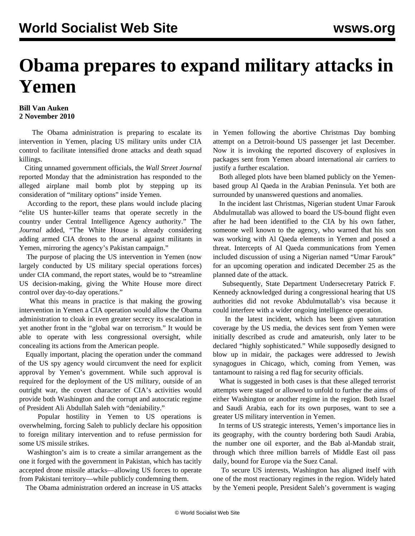## **Obama prepares to expand military attacks in Yemen**

## **Bill Van Auken 2 November 2010**

 The Obama administration is preparing to escalate its intervention in Yemen, placing US military units under CIA control to facilitate intensified drone attacks and death squad killings.

 Citing unnamed government officials, the *Wall Street Journal* reported Monday that the administration has responded to the alleged airplane mail bomb plot by stepping up its consideration of "military options" inside Yemen.

 According to the report, these plans would include placing "elite US hunter-killer teams that operate secretly in the country under Central Intelligence Agency authority." The *Journal* added, "The White House is already considering adding armed CIA drones to the arsenal against militants in Yemen, mirroring the agency's Pakistan campaign."

 The purpose of placing the US intervention in Yemen (now largely conducted by US military special operations forces) under CIA command, the report states, would be to "streamline US decision-making, giving the White House more direct control over day-to-day operations."

 What this means in practice is that making the growing intervention in Yemen a CIA operation would allow the Obama administration to cloak in even greater secrecy its escalation in yet another front in the "global war on terrorism." It would be able to operate with less congressional oversight, while concealing its actions from the American people.

 Equally important, placing the operation under the command of the US spy agency would circumvent the need for explicit approval by Yemen's government. While such approval is required for the deployment of the US military, outside of an outright war, the covert character of CIA's activities would provide both Washington and the corrupt and autocratic regime of President Ali Abdullah Saleh with "deniability."

 Popular hostility in Yemen to US operations is overwhelming, forcing Saleh to publicly declare his opposition to foreign military intervention and to refuse permission for some US missile strikes.

 Washington's aim is to create a similar arrangement as the one it forged with the government in Pakistan, which has tacitly accepted drone missile attacks—allowing US forces to operate from Pakistani territory—while publicly condemning them.

The Obama administration ordered an increase in US attacks

in Yemen following the abortive Christmas Day bombing attempt on a Detroit-bound US passenger jet last December. Now it is invoking the reported discovery of explosives in packages sent from Yemen aboard international air carriers to justify a further escalation.

 Both alleged plots have been blamed publicly on the Yemenbased group Al Qaeda in the Arabian Peninsula. Yet both are surrounded by unanswered questions and anomalies.

 In the incident last Christmas, Nigerian student Umar Farouk Abdulmutallab was allowed to board the US-bound flight even after he had been identified to the CIA by his own father, someone well known to the agency, who warned that his son was working with Al Qaeda elements in Yemen and posed a threat. Intercepts of Al Qaeda communications from Yemen included discussion of using a Nigerian named "Umar Farouk" for an upcoming operation and indicated December 25 as the planned date of the attack.

 Subsequently, State Department Undersecretary Patrick F. Kennedy acknowledged during a congressional hearing that US authorities did not revoke Abdulmutallab's visa because it could interfere with a wider ongoing intelligence operation.

 In the latest incident, which has been given saturation coverage by the US media, the devices sent from Yemen were initially described as crude and amateurish, only later to be declared "highly sophisticated." While supposedly designed to blow up in midair, the packages were addressed to Jewish synagogues in Chicago, which, coming from Yemen, was tantamount to raising a red flag for security officials.

 What is suggested in both cases is that these alleged terrorist attempts were staged or allowed to unfold to further the aims of either Washington or another regime in the region. Both Israel and Saudi Arabia, each for its own purposes, want to see a greater US military intervention in Yemen.

 In terms of US strategic interests, Yemen's importance lies in its geography, with the country bordering both Saudi Arabia, the number one oil exporter, and the Bab al-Mandab strait, through which three million barrels of Middle East oil pass daily, bound for Europe via the Suez Canal.

 To secure US interests, Washington has aligned itself with one of the most reactionary regimes in the region. Widely hated by the Yemeni people, President Saleh's government is waging